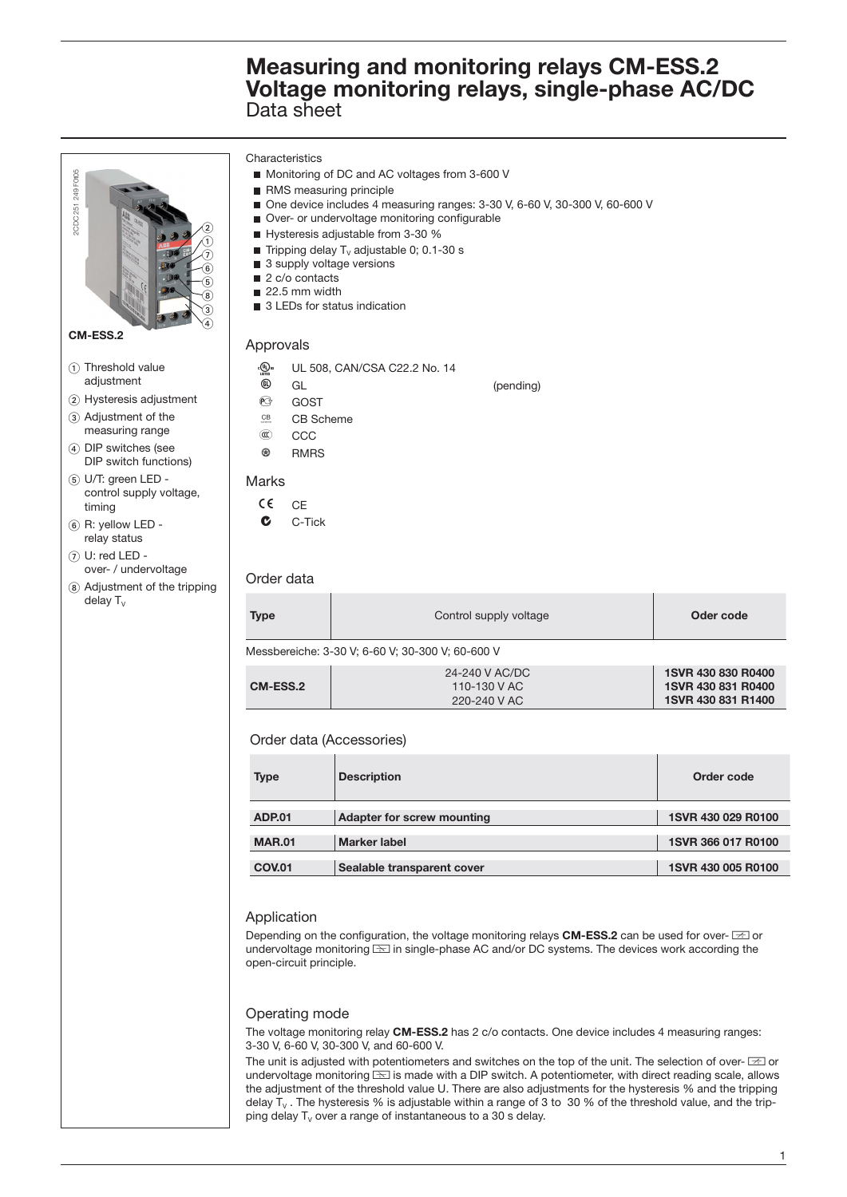Characteristics Monitoring of DC and AC voltages from 3-600 V 2CDC 251 249 F0t05 2CDC 251 249 F0105 RMS measuring principle ■ One device includes 4 measuring ranges: 3-30 V, 6-60 V, 30-300 V, 60-600 V Over- or undervoltage monitoring configurable  $^\copyright$ Hysteresis adjustable from 3-30 % ➀ Tripping delay  $T_v$  adjustable 0; 0.1-30 s の ■ 3 supply voltage versions  $^\circledR$ 2 c/o contacts  $\circledast$  $22.5$  mm width ั ค ■ 3 LEDs for status indication  $_{\tiny \textcircled{\scriptsize{3}}}$  $\circledast$ **CM-ESS.2** Approvals (1) Threshold value **A** UL 508, CAN/CSA C22.2 No. 14 adjustment  $\circledR$  GL  $\circledR$  (pending) **PG** GOST 2 Hysteresis adjustment (3) Adjustment of the  $CB$  CB Scheme measuring range E CCC DIP switches (see  $R$  RMRS DIP switch functions) U/T: green LED - Marks control supply voltage,  $CE$  CF timing  $(6)$  R: yellow LED - $C$ -Tick relay status  $\circledR$  U: red LED over- / undervoltage Order data Adjustment of the tripping  $delay T<sub>v</sub>$ **Type Control supply voltage Control supply voltage Control Supply voltage Control Control of Control Control Control Control Control Control Control Control Control Control Control Control Control Control Control Control** Messbereiche: 3-30 V; 6-60 V; 30-300 V; 60-600 V **1SVR 430 830 R0400** 24-240 V AC/DC **CM-ESS.2** 110-130 V AC **1SVR 430 831 R0400** 220-240 V AC **1SVR 430 831 R1400** Order data (Accessories) **Type Description Description** Description Description Description Description Description Description Description ADP.01 Adapter for screw mounting 1SVR 430 029 R0100 **MAR.01** Marker label **1SVR 366 017 R0100 COV.01** Sealable transparent cover 1SVR 430 005 R0100 Application Depending on the configuration, the voltage monitoring relays **CM-ESS.2** can be used for over-  $\equiv$  or undervoltage monitoring  $\equiv$  in single-phase AC and/or DC systems. The devices work according the open-circuit principle. Operating mode The voltage monitoring relay **CM-ESS.2** has 2 c/o contacts. One device includes 4 measuring ranges: 3-30 V, 6-60 V, 30-300 V, and 60-600 V. The unit is adjusted with potentiometers and switches on the top of the unit. The selection of over- $\equiv$  or undervoltage monitoring  $\equiv$  is made with a DIP switch. A potentiometer, with direct reading scale, allows the adjustment of the threshold value U. There are also adjustments for the hysteresis % and the tripping delay  $T_v$ . The hysteresis % is adjustable within a range of 3 to 30 % of the threshold value, and the tripping delay  $T_v$  over a range of instantaneous to a 30 s delay.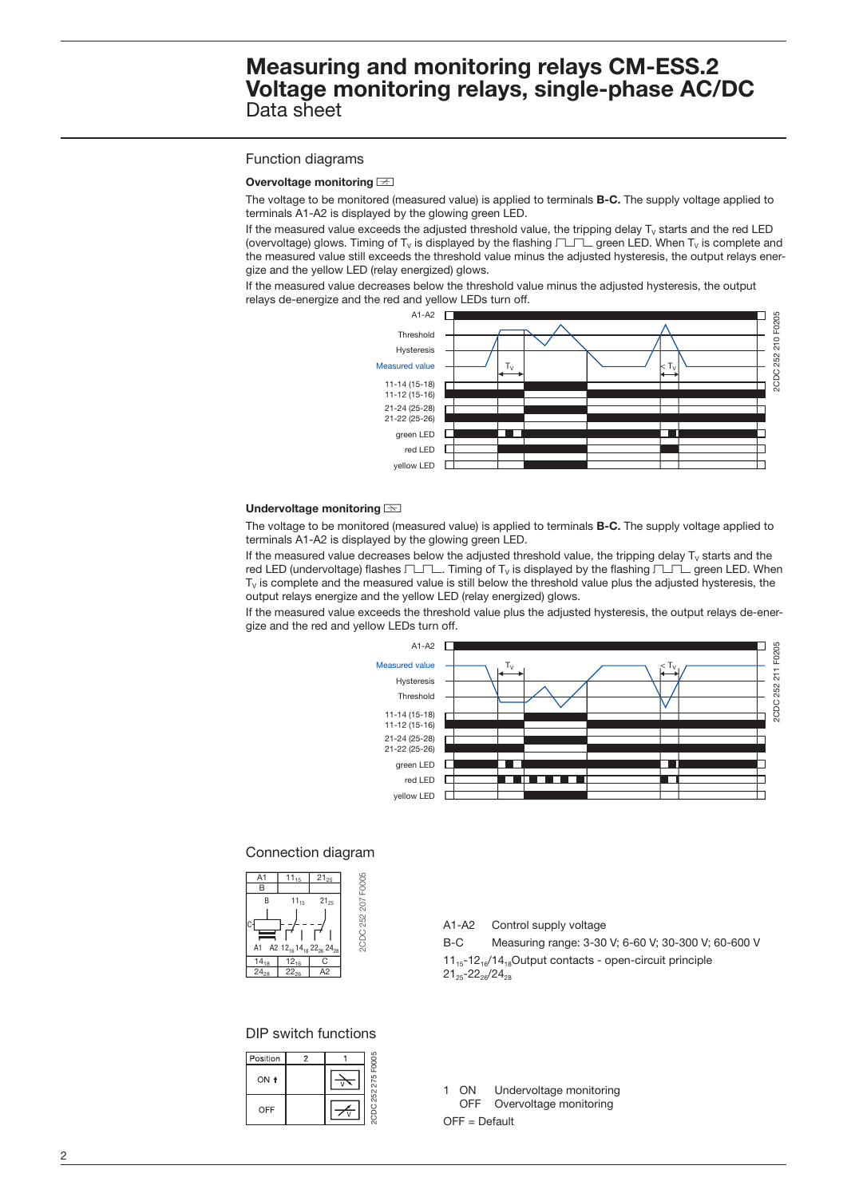### Function diagrams

### **Overvoltage monitoring**  $\equiv$

The voltage to be monitored (measured value) is applied to terminals **B-C.** The supply voltage applied to terminals A1-A2 is displayed by the glowing green LED.

If the measured value exceeds the adjusted threshold value, the tripping delay  $T_v$  starts and the red LED (overvoltage) glows. Timing of T<sub>V</sub> is displayed by the flashing  $\Box\Box$  green LED. When T<sub>V</sub> is complete and the measured value still exceeds the threshold value minus the adjusted hysteresis, the output relays energize and the yellow LED (relay energized) glows.

If the measured value decreases below the threshold value minus the adjusted hysteresis, the output relays de-energize and the red and yellow LEDs turn off.



#### **Undervoltage monitoring <b>can**

The voltage to be monitored (measured value) is applied to terminals **B-C.** The supply voltage applied to terminals A1-A2 is displayed by the glowing green LED.

If the measured value decreases below the adjusted threshold value, the tripping delay  $T_v$  starts and the red LED (undervoltage) flashes  $T\Box\neg\Box$ . Timing of T<sub>V</sub> is displayed by the flashing  $T\Box\neg\Box$  green LED. When  $T_{\rm V}$  is complete and the measured value is still below the threshold value plus the adjusted hysteresis, the output relays energize and the yellow LED (relay energized) glows.

If the measured value exceeds the threshold value plus the adjusted hysteresis, the output relays de-energize and the red and yellow LEDs turn off.



### Connection diagram



### DIP switch functions

| Position | 2 |               |
|----------|---|---------------|
| ON +     |   | 252 275 F0005 |
| OFF      |   | 3d<br>B       |

|                                                                                                       | A1-A2 Control supply voltage                        |  |
|-------------------------------------------------------------------------------------------------------|-----------------------------------------------------|--|
| B-C                                                                                                   | Measuring range: 3-30 V; 6-60 V; 30-300 V; 60-600 V |  |
| $11_{15} - 12_{16}/14_{18}$ Output contacts - open-circuit principle<br>$21_{25} - 22_{26} / 24_{28}$ |                                                     |  |

1 ON Undervoltage monitoring OFF Overvoltage monitoring

OFF = Default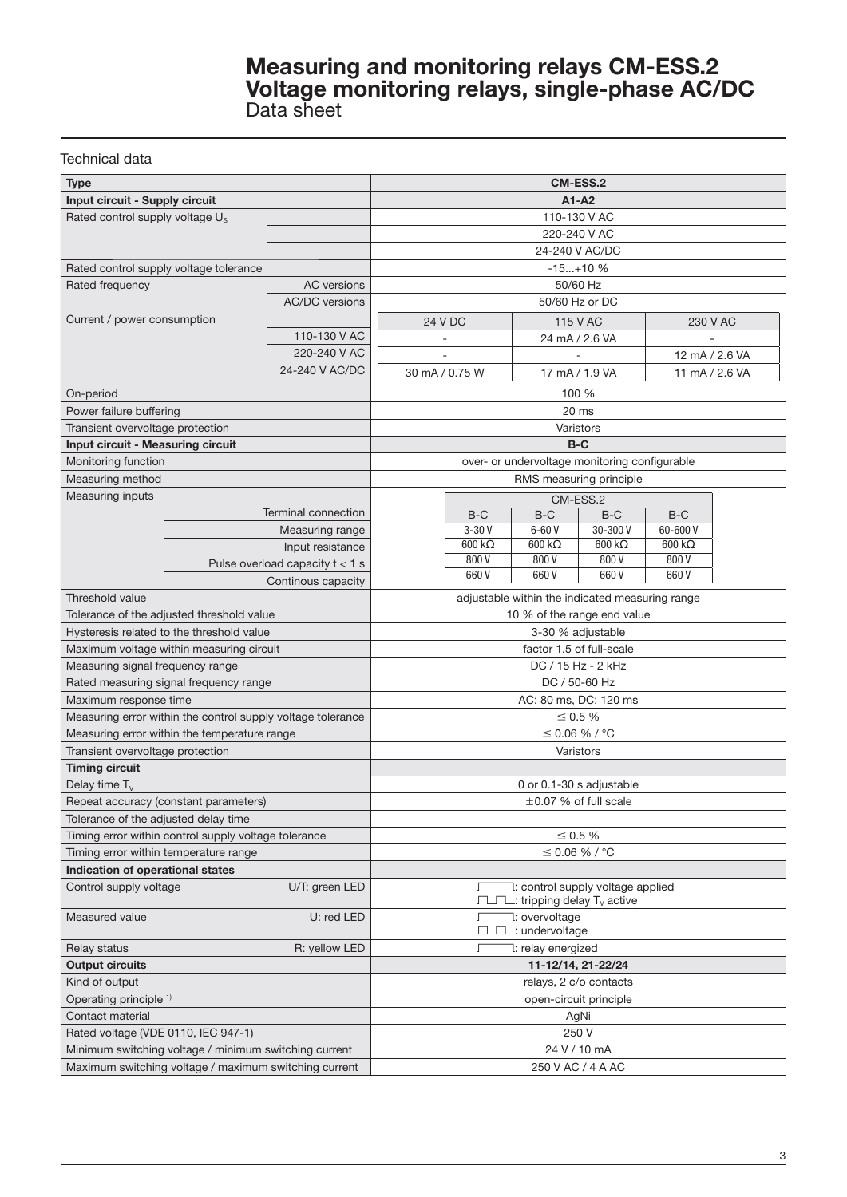### Technical data

| <b>Type</b>                                                 | <b>CM-ESS.2</b>                   |                                                 |                |                                                                         |               |                       |                |
|-------------------------------------------------------------|-----------------------------------|-------------------------------------------------|----------------|-------------------------------------------------------------------------|---------------|-----------------------|----------------|
| Input circuit - Supply circuit                              |                                   | $A1 - A2$                                       |                |                                                                         |               |                       |                |
| Rated control supply voltage U <sub>s</sub>                 |                                   | 110-130 V AC                                    |                |                                                                         |               |                       |                |
|                                                             |                                   | 220-240 V AC                                    |                |                                                                         |               |                       |                |
|                                                             |                                   | 24-240 V AC/DC                                  |                |                                                                         |               |                       |                |
| Rated control supply voltage tolerance                      |                                   | $-15+10%$                                       |                |                                                                         |               |                       |                |
| Rated frequency                                             | <b>AC</b> versions                |                                                 |                | 50/60 Hz                                                                |               |                       |                |
|                                                             | <b>AC/DC</b> versions             |                                                 |                | 50/60 Hz or DC                                                          |               |                       |                |
| Current / power consumption                                 |                                   |                                                 | 24 V DC        | <b>115 V AC</b>                                                         |               |                       | 230 V AC       |
|                                                             | 110-130 V AC                      |                                                 |                | 24 mA / 2.6 VA                                                          |               |                       |                |
|                                                             | 220-240 V AC                      |                                                 |                |                                                                         |               |                       | 12 mA / 2.6 VA |
|                                                             | 24-240 V AC/DC                    |                                                 | 30 mA / 0.75 W | 17 mA / 1.9 VA                                                          |               |                       | 11 mA / 2.6 VA |
| On-period                                                   |                                   | 100 %                                           |                |                                                                         |               |                       |                |
| Power failure buffering                                     |                                   | 20 ms                                           |                |                                                                         |               |                       |                |
| Transient overvoltage protection                            |                                   | Varistors                                       |                |                                                                         |               |                       |                |
| Input circuit - Measuring circuit                           |                                   | $B-C$                                           |                |                                                                         |               |                       |                |
| Monitoring function                                         |                                   | over- or undervoltage monitoring configurable   |                |                                                                         |               |                       |                |
| Measuring method                                            |                                   |                                                 |                | RMS measuring principle                                                 |               |                       |                |
| Measuring inputs                                            |                                   |                                                 |                | CM-ESS.2                                                                |               |                       |                |
|                                                             | Terminal connection               |                                                 | $B-C$          | $B-C$                                                                   | B-C           | $B-C$                 |                |
|                                                             | Measuring range                   |                                                 | $3-30V$        | $6-60V$                                                                 | 30-300 V      | 60-600 V              |                |
|                                                             | Input resistance                  |                                                 | $600 k\Omega$  | $600 k\Omega$                                                           | $600 k\Omega$ | $600 \text{ k}\Omega$ |                |
|                                                             | Pulse overload capacity $t < 1$ s |                                                 | 800V           | 800V                                                                    | 800V          | 800 V                 |                |
|                                                             | Continous capacity                |                                                 | 660V           | 660V                                                                    | 660V          | 660V                  |                |
| Threshold value                                             |                                   | adjustable within the indicated measuring range |                |                                                                         |               |                       |                |
| Tolerance of the adjusted threshold value                   |                                   | 10 % of the range end value                     |                |                                                                         |               |                       |                |
| Hysteresis related to the threshold value                   |                                   | 3-30 % adjustable                               |                |                                                                         |               |                       |                |
| Maximum voltage within measuring circuit                    |                                   | factor 1.5 of full-scale                        |                |                                                                         |               |                       |                |
| Measuring signal frequency range                            |                                   | DC / 15 Hz - 2 kHz                              |                |                                                                         |               |                       |                |
| Rated measuring signal frequency range                      |                                   | DC / 50-60 Hz                                   |                |                                                                         |               |                       |                |
| Maximum response time                                       |                                   | AC: 80 ms, DC: 120 ms                           |                |                                                                         |               |                       |                |
| Measuring error within the control supply voltage tolerance |                                   | ≤ 0.5 %                                         |                |                                                                         |               |                       |                |
| Measuring error within the temperature range                |                                   | $\leq$ 0.06 % / °C                              |                |                                                                         |               |                       |                |
| Transient overvoltage protection                            |                                   | Varistors                                       |                |                                                                         |               |                       |                |
| <b>Timing circuit</b>                                       |                                   |                                                 |                |                                                                         |               |                       |                |
| Delay time $T_v$                                            |                                   | 0 or 0.1-30 s adjustable                        |                |                                                                         |               |                       |                |
| Repeat accuracy (constant parameters)                       |                                   | $\pm$ 0.07 % of full scale                      |                |                                                                         |               |                       |                |
| Tolerance of the adjusted delay time                        |                                   |                                                 |                |                                                                         |               |                       |                |
| Timing error within control supply voltage tolerance        |                                   | $\leq 0.5\%$                                    |                |                                                                         |               |                       |                |
| Timing error within temperature range                       | $≤$ 0.06 % / °C                   |                                                 |                |                                                                         |               |                       |                |
| Indication of operational states                            |                                   |                                                 |                |                                                                         |               |                       |                |
| Control supply voltage                                      | U/T: green LED                    |                                                 |                | 1: control supply voltage applied<br>$\Box$ tripping delay $T_v$ active |               |                       |                |
| Measured value<br>U: red LED                                |                                   | 7: overvoltage<br>Г<br>□□□ : undervoltage       |                |                                                                         |               |                       |                |
| R: yellow LED<br>Relay status                               |                                   | 7: relay energized<br>Г                         |                |                                                                         |               |                       |                |
| <b>Output circuits</b>                                      |                                   | 11-12/14, 21-22/24                              |                |                                                                         |               |                       |                |
| Kind of output                                              |                                   | relays, 2 c/o contacts                          |                |                                                                         |               |                       |                |
| Operating principle <sup>1)</sup>                           |                                   | open-circuit principle                          |                |                                                                         |               |                       |                |
| Contact material                                            |                                   | AgNi                                            |                |                                                                         |               |                       |                |
| Rated voltage (VDE 0110, IEC 947-1)                         |                                   | 250 V                                           |                |                                                                         |               |                       |                |
| Minimum switching voltage / minimum switching current       | 24 V / 10 mA                      |                                                 |                |                                                                         |               |                       |                |
| Maximum switching voltage / maximum switching current       | 250 V AC / 4 A AC                 |                                                 |                |                                                                         |               |                       |                |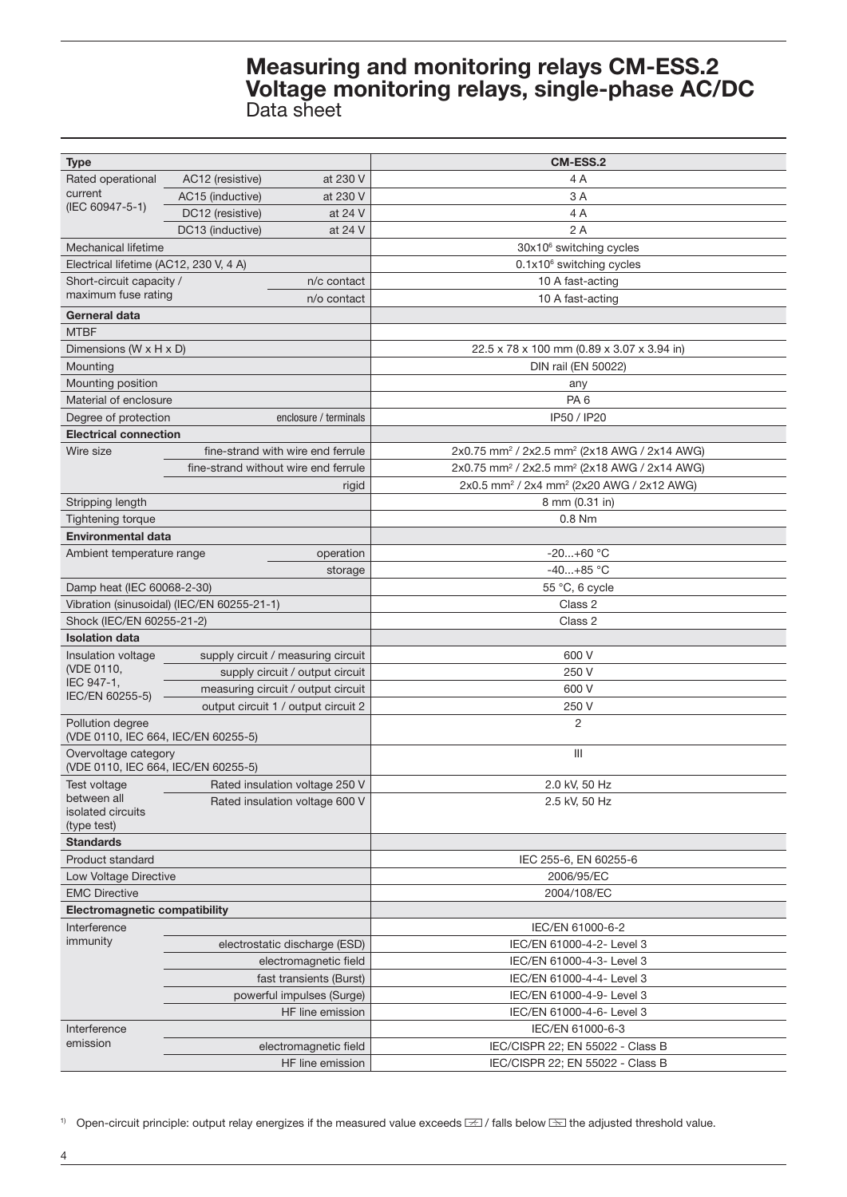| <b>Type</b>                            |                                                        | <b>CM-ESS.2</b>                                                      |  |  |  |  |
|----------------------------------------|--------------------------------------------------------|----------------------------------------------------------------------|--|--|--|--|
| Rated operational                      | AC12 (resistive)<br>at 230 V                           | 4 A                                                                  |  |  |  |  |
| current                                | AC15 (inductive)<br>at 230 V                           | 3 A                                                                  |  |  |  |  |
| (IEC 60947-5-1)                        | DC12 (resistive)<br>at 24 V                            | 4A                                                                   |  |  |  |  |
|                                        | DC13 (inductive)<br>at 24 V                            | 2A                                                                   |  |  |  |  |
| Mechanical lifetime                    |                                                        | 30x10 <sup>6</sup> switching cycles                                  |  |  |  |  |
| Electrical lifetime (AC12, 230 V, 4 A) |                                                        | $0.1x106$ switching cycles                                           |  |  |  |  |
| Short-circuit capacity /               | n/c contact                                            | 10 A fast-acting                                                     |  |  |  |  |
| maximum fuse rating                    | n/o contact                                            | 10 A fast-acting                                                     |  |  |  |  |
| Gerneral data                          |                                                        |                                                                      |  |  |  |  |
| <b>MTBF</b>                            |                                                        |                                                                      |  |  |  |  |
| Dimensions (W x H x D)                 |                                                        | 22.5 x 78 x 100 mm (0.89 x 3.07 x 3.94 in)                           |  |  |  |  |
| Mounting                               |                                                        | DIN rail (EN 50022)                                                  |  |  |  |  |
| Mounting position                      |                                                        | any                                                                  |  |  |  |  |
| Material of enclosure                  |                                                        | PA <sub>6</sub>                                                      |  |  |  |  |
| Degree of protection                   | enclosure / terminals                                  | IP50 / IP20                                                          |  |  |  |  |
| <b>Electrical connection</b>           |                                                        |                                                                      |  |  |  |  |
| Wire size                              | fine-strand with wire end ferrule                      | 2x0.75 mm <sup>2</sup> / 2x2.5 mm <sup>2</sup> (2x18 AWG / 2x14 AWG) |  |  |  |  |
|                                        | fine-strand without wire end ferrule                   | 2x0.75 mm <sup>2</sup> / 2x2.5 mm <sup>2</sup> (2x18 AWG / 2x14 AWG) |  |  |  |  |
|                                        | rigid                                                  | 2x0.5 mm <sup>2</sup> / 2x4 mm <sup>2</sup> (2x20 AWG / 2x12 AWG)    |  |  |  |  |
| Stripping length                       |                                                        | 8 mm (0.31 in)                                                       |  |  |  |  |
| <b>Tightening torque</b>               |                                                        | $0.8$ Nm                                                             |  |  |  |  |
| <b>Environmental data</b>              |                                                        |                                                                      |  |  |  |  |
| Ambient temperature range              | operation                                              | $-20+60$ °C                                                          |  |  |  |  |
|                                        | storage                                                | $-40+85$ °C                                                          |  |  |  |  |
| Damp heat (IEC 60068-2-30)             |                                                        | 55 °C, 6 cycle                                                       |  |  |  |  |
|                                        | Vibration (sinusoidal) (IEC/EN 60255-21-1)             | Class 2                                                              |  |  |  |  |
| Shock (IEC/EN 60255-21-2)              |                                                        | Class 2                                                              |  |  |  |  |
| <b>Isolation data</b>                  |                                                        |                                                                      |  |  |  |  |
| Insulation voltage                     | supply circuit / measuring circuit                     | 600 V                                                                |  |  |  |  |
| (VDE 0110,                             | supply circuit / output circuit                        | 250 V                                                                |  |  |  |  |
| IEC 947-1,                             | measuring circuit / output circuit                     | 600 V                                                                |  |  |  |  |
| IEC/EN 60255-5)                        | output circuit 1 / output circuit 2                    | 250 V                                                                |  |  |  |  |
| Pollution degree                       |                                                        | $\overline{2}$                                                       |  |  |  |  |
| (VDE 0110, IEC 664, IEC/EN 60255-5)    |                                                        |                                                                      |  |  |  |  |
| Overvoltage category                   |                                                        | Ш                                                                    |  |  |  |  |
| (VDE 0110, IEC 664, IEC/EN 60255-5)    |                                                        |                                                                      |  |  |  |  |
| Test voltage                           | Rated insulation voltage 250 V                         | 2.0 kV, 50 Hz                                                        |  |  |  |  |
| between all                            | Rated insulation voltage 600 V                         | 2.5 kV, 50 Hz                                                        |  |  |  |  |
| isolated circuits<br>(type test)       |                                                        |                                                                      |  |  |  |  |
| <b>Standards</b>                       |                                                        |                                                                      |  |  |  |  |
| <b>Product standard</b>                |                                                        | IEC 255-6, EN 60255-6                                                |  |  |  |  |
| Low Voltage Directive                  |                                                        | 2006/95/EC                                                           |  |  |  |  |
| <b>EMC Directive</b>                   |                                                        | 2004/108/EC                                                          |  |  |  |  |
| Electromagnetic compatibility          |                                                        |                                                                      |  |  |  |  |
| Interference                           |                                                        | IEC/EN 61000-6-2                                                     |  |  |  |  |
| immunity                               |                                                        |                                                                      |  |  |  |  |
|                                        | electrostatic discharge (ESD)<br>electromagnetic field | IEC/EN 61000-4-2- Level 3<br>IEC/EN 61000-4-3- Level 3               |  |  |  |  |
|                                        | fast transients (Burst)                                | IEC/EN 61000-4-4- Level 3                                            |  |  |  |  |
|                                        |                                                        |                                                                      |  |  |  |  |
|                                        | powerful impulses (Surge)                              | IEC/EN 61000-4-9- Level 3                                            |  |  |  |  |
|                                        | HF line emission                                       | IEC/EN 61000-4-6- Level 3                                            |  |  |  |  |
| Interference<br>emission               |                                                        | IEC/EN 61000-6-3                                                     |  |  |  |  |
|                                        | electromagnetic field                                  | IEC/CISPR 22; EN 55022 - Class B                                     |  |  |  |  |
|                                        | HF line emission                                       | IEC/CISPR 22; EN 55022 - Class B                                     |  |  |  |  |

1) Open-circuit principle: output relay energizes if the measured value exceeds  $\equiv$  / falls below  $\equiv$  the adjusted threshold value.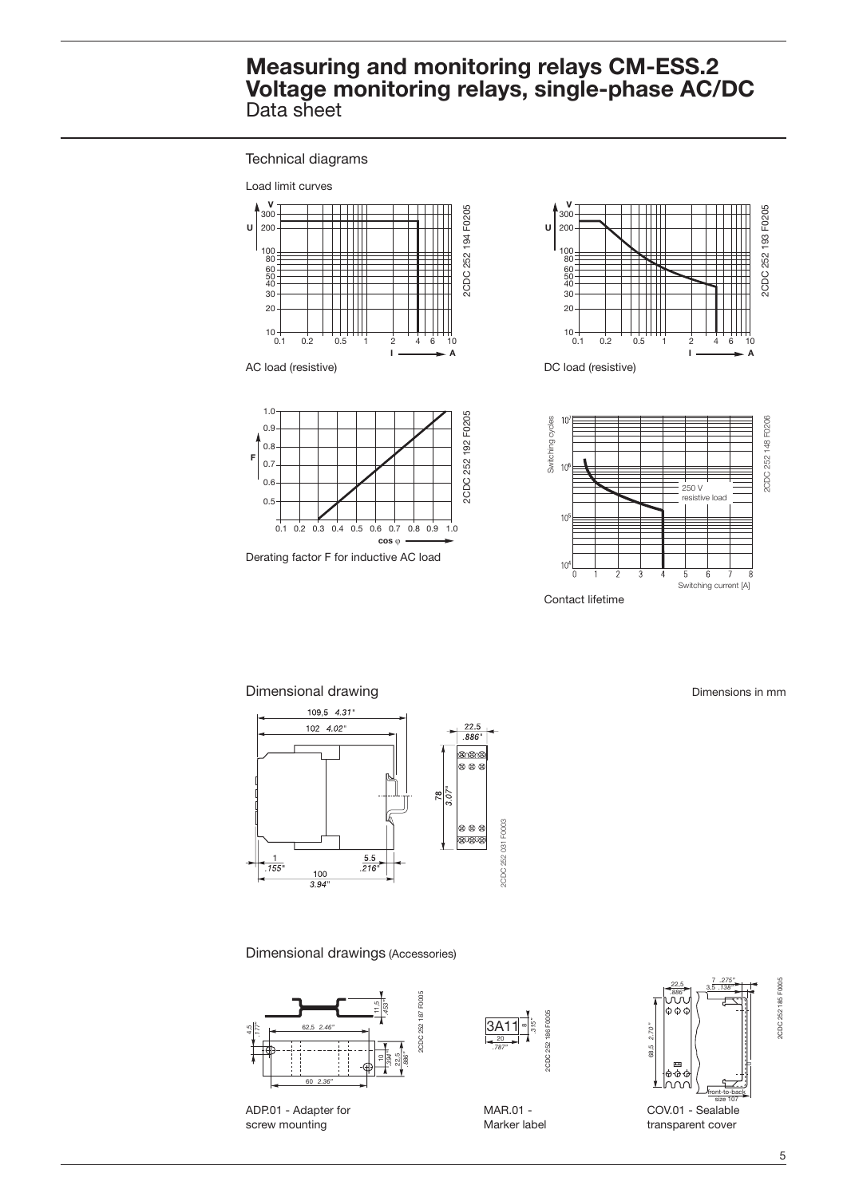Technical diagrams











Dimensional drawing **Dimensional** drawing **Dimensions** in mm



Dimensional drawings (Accessories)



ADP.01 - Adapter for screw mounting



MAR.01 - Marker label



size 107<br>COV.01 - Sealable transparent cover

2CDC 252 185 F0005

2CDC 252 185 F0005